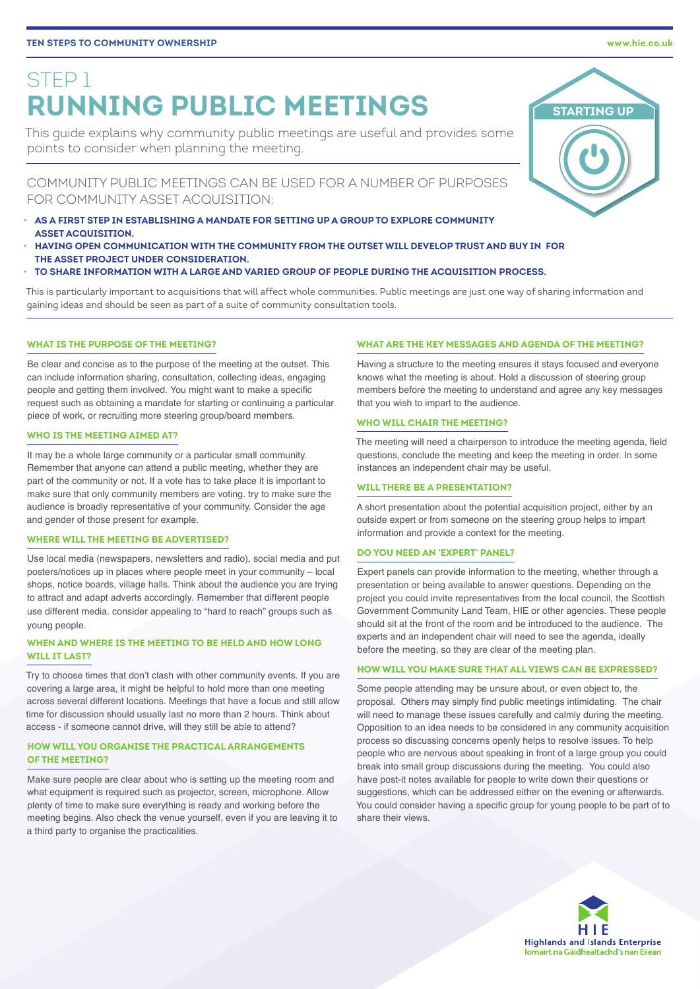# STEP 1 **RUNNING PUBLIC MEETINGS**

This guide explains why community public meetings are useful and provides some points to consider when planning the meeting.

COMMUNITY PUBLIC MEETINGS CAN BE USED FOR A NUMBER OF PURPOSES FOR COMMUNITY ASSET ACQUISITION:

- **AS A FIRST STEP IN ESTABLISHING A MANDATE FOR SETTING UP A GROUP TO EXPLORE COMMUNITY ASSET ACQUISITION.**
- **HAVING OPEN COMMUNICATION WITH THE COMMUNITY FROM THE OUTSET WILL DEVELOP TRUST AND BUY IN FOR THE ASSET PROJECT UNDER CONSIDERATION.**
- **TO SHARE INFORMATION WITH A LARGE AND VARIED GROUP OF PEOPLE DURING THE ACQUISITION PROCESS.**

This is particularly important to acquisitions that will affect whole communities. Public meetings are just one way of sharing information and gaining ideas and should be seen as part of a suite of community consultation tools.

# **WHAT IS THE DURPOSE OF THE MEETING?**

Be clear and concise as to the purpose of the meeting at the outset. This can include information sharing, consultation, collecting ideas, engaging people and getting them involved. You might want to make a specific request such as obtaining a mandate for starting or continuing a particular piece of work, or recruiting more steering group/board members.

# **WHO IS THE MEETING AIMED AT?**

It may be a whole large community or a particular small community. Remember that anyone can attend a public meeting, whether they are part of the community or not. If a vote has to take place it is important to make sure that only community members are voting. try to make sure the audience is broadly representative of your community. Consider the age and gender of those present for example.

# **WHERE WILL THE MEETING BE ADVERTISED?**

Use local media (newspapers, newsletters and radio), social media and put posters/notices up in places where people meet in your community – local shops, notice boards, village halls. Think about the audience you are trying to attract and adapt adverts accordingly. Remember that different people use different media. consider appealing to "hard to reach" groups such as young people.

# **WHEN AND WHERE IS THE MEETING TO BE HELD AND HOW LONG WILL IT LAST?**

Try to choose times that don't clash with other community events. If you are covering a large area, it might be helpful to hold more than one meeting across several different locations. Meetings that have a focus and still allow time for discussion should usually last no more than 2 hours. Think about access - if someone cannot drive, will they still be able to attend?

# **HOW WILL YOU ORGANISE THE PRACTICAL ARRANGEMENTS OF THE MEETING?**

Make sure people are clear about who is setting up the meeting room and what equipment is required such as projector, screen, microphone. Allow plenty of time to make sure everything is ready and working before the meeting begins. Also check the venue yourself, even if you are leaving it to a third party to organise the practicalities.

# **WHAT ARE THE KEY MESSAGES AND AGENDA OF THE MEETING?**

Having a structure to the meeting ensures it stays focused and everyone knows what the meeting is about. Hold a discussion of steering group members before the meeting to understand and agree any key messages that you wish to impart to the audience.

# **WHO WILL CHAIR THE MEETING?**

The meeting will need a chairperson to introduce the meeting agenda, field questions, conclude the meeting and keep the meeting in order. In some instances an independent chair may be useful.

# **WILL THERE BE A PRESENTATION?**

A short presentation about the potential acquisition project, either by an outside expert or from someone on the steering group helps to impart information and provide a context for the meeting.

# **DO YOU NEED AN 'EXPERT' PANEL?**

Expert panels can provide information to the meeting, whether through a presentation or being available to answer questions. Depending on the project you could invite representatives from the local council, the Scottish Government Community Land Team, HIE or other agencies. These people should sit at the front of the room and be introduced to the audience. The experts and an independent chair will need to see the agenda, ideally before the meeting, so they are clear of the meeting plan.

# **HOW WILL YOU MAKE SURE THAT ALL VIEWS CAN BE EXPRESSED?**

Some people attending may be unsure about, or even object to, the proposal. Others may simply find public meetings intimidating. The chair will need to manage these issues carefully and calmly during the meeting. Opposition to an idea needs to be considered in any community acquisition process so discussing concerns openly helps to resolve issues. To help people who are nervous about speaking in front of a large group you could break into small group discussions during the meeting. You could also have post-it notes available for people to write down their questions or suggestions, which can be addressed either on the evening or afterwards. You could consider having a specific group for young people to be part of to share their views.